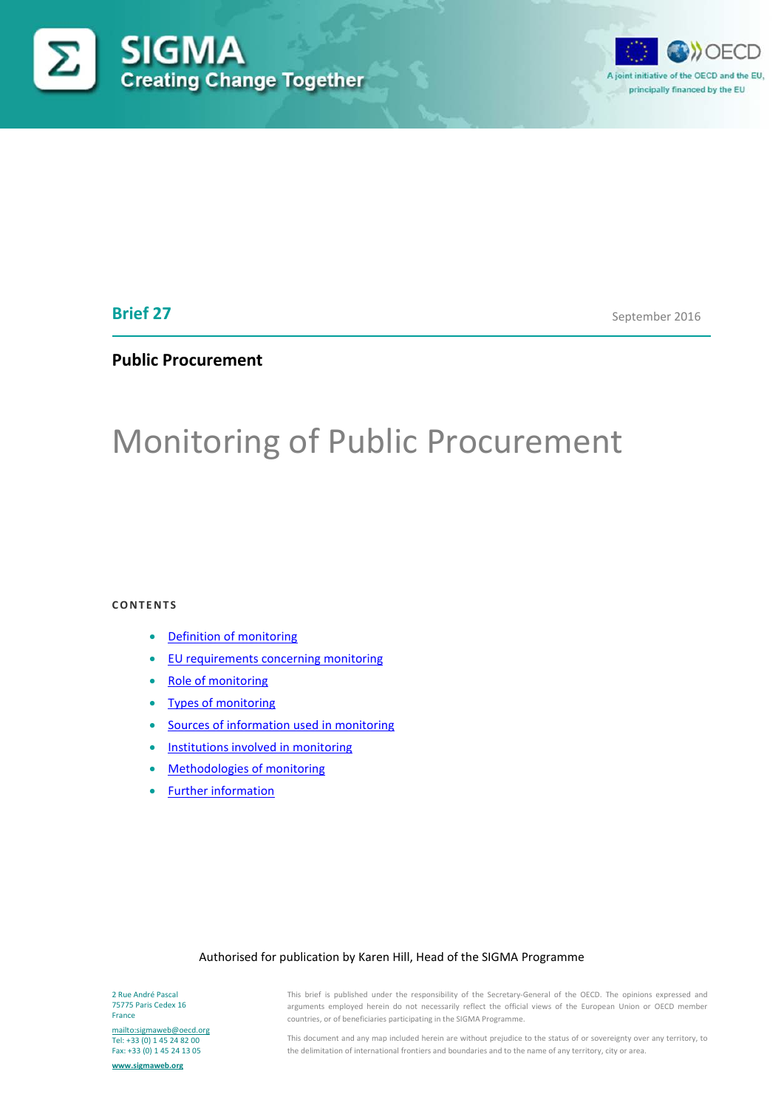



# **Brief 27**

September 2016

# **Public Procurement**

# Monitoring of Public Procurement

#### **CONTENTS**

- [Definition of monitoring](#page-1-0)
- [EU requirements concerning monitoring](#page-3-0)
- [Role of monitoring](#page-4-0)
- [Types of monitoring](#page-4-1)
- [Sources of information used in monitoring](#page-9-0)
- [Institutions involved in monitoring](#page-9-1)
- [Methodologies of monitoring](#page-11-0)
- [Further information](#page-12-0)

#### Authorised for publication by Karen Hill, Head of the SIGMA Programme

2 Rue André Pascal 75775 Paris Cedex 16 France

<mailto:sigmaweb@oecd.org> Tel: +33 (0) 1 45 24 82 00 Fax: +33 (0) 1 45 24 13 05

**[www.sigmaweb.org](http://www.sigmaweb.org/)**

This brief is published under the responsibility of the Secretary-General of the OECD. The opinions expressed and arguments employed herein do not necessarily reflect the official views of the European Union or OECD member countries, or of beneficiaries participating in the SIGMA Programme.

This document and any map included herein are without prejudice to the status of or sovereignty over any territory, to the delimitation of international frontiers and boundaries and to the name of any territory, city or area.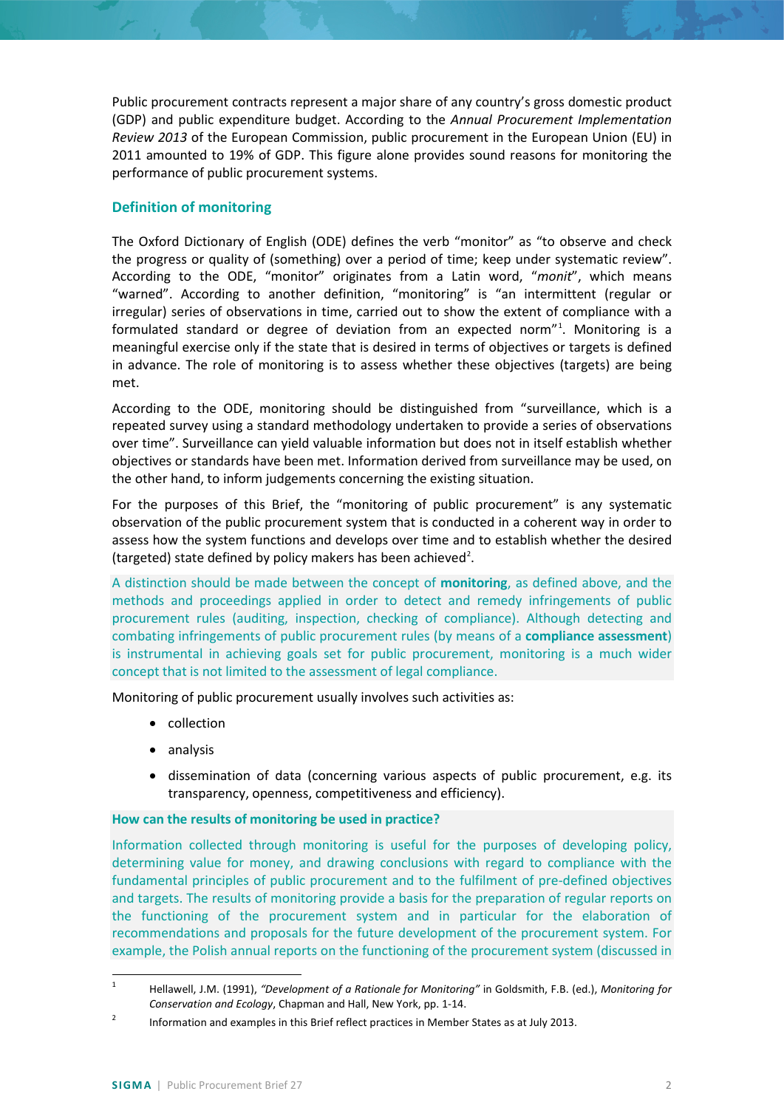Public procurement contracts represent a major share of any country's gross domestic product (GDP) and public expenditure budget. According to the *Annual Procurement Implementation Review 2013* of the European Commission, public procurement in the European Union (EU) in 2011 amounted to 19% of GDP. This figure alone provides sound reasons for monitoring the performance of public procurement systems.

# <span id="page-1-0"></span>**Definition of monitoring**

The Oxford Dictionary of English (ODE) defines the verb "monitor" as "to observe and check the progress or quality of (something) over a period of time; keep under systematic review". According to the ODE, "monitor" originates from a Latin word, "*monit*", which means "warned". According to another definition, "monitoring" is "an intermittent (regular or irregular) series of observations in time, carried out to show the extent of compliance with a formulated standard or degree of deviation from an expected norm"<sup>[1](#page-1-1)</sup>. Monitoring is a meaningful exercise only if the state that is desired in terms of objectives or targets is defined in advance. The role of monitoring is to assess whether these objectives (targets) are being met.

According to the ODE, monitoring should be distinguished from "surveillance, which is a repeated survey using a standard methodology undertaken to provide a series of observations over time". Surveillance can yield valuable information but does not in itself establish whether objectives or standards have been met. Information derived from surveillance may be used, on the other hand, to inform judgements concerning the existing situation.

For the purposes of this Brief, the "monitoring of public procurement" is any systematic observation of the public procurement system that is conducted in a coherent way in order to assess how the system functions and develops over time and to establish whether the desired (targeted) state defined by policy makers has been achieved<sup>[2](#page-1-2)</sup>.

A distinction should be made between the concept of **monitoring**, as defined above, and the methods and proceedings applied in order to detect and remedy infringements of public procurement rules (auditing, inspection, checking of compliance). Although detecting and combating infringements of public procurement rules (by means of a **compliance assessment**) is instrumental in achieving goals set for public procurement, monitoring is a much wider concept that is not limited to the assessment of legal compliance.

Monitoring of public procurement usually involves such activities as:

- collection
- analysis
- dissemination of data (concerning various aspects of public procurement, e.g. its transparency, openness, competitiveness and efficiency).

## **How can the results of monitoring be used in practice?**

Information collected through monitoring is useful for the purposes of developing policy, determining value for money, and drawing conclusions with regard to compliance with the fundamental principles of public procurement and to the fulfilment of pre-defined objectives and targets. The results of monitoring provide a basis for the preparation of regular reports on the functioning of the procurement system and in particular for the elaboration of recommendations and proposals for the future development of the procurement system. For example, the Polish annual reports on the functioning of the procurement system (discussed in

<span id="page-1-1"></span> <sup>1</sup> Hellawell, J.M. (1991), *"Development of a Rationale for Monitoring"* in Goldsmith, F.B. (ed.), *Monitoring for Conservation and Ecology*, Chapman and Hall, New York, pp. 1-14.

<span id="page-1-2"></span><sup>&</sup>lt;sup>2</sup> Information and examples in this Brief reflect practices in Member States as at July 2013.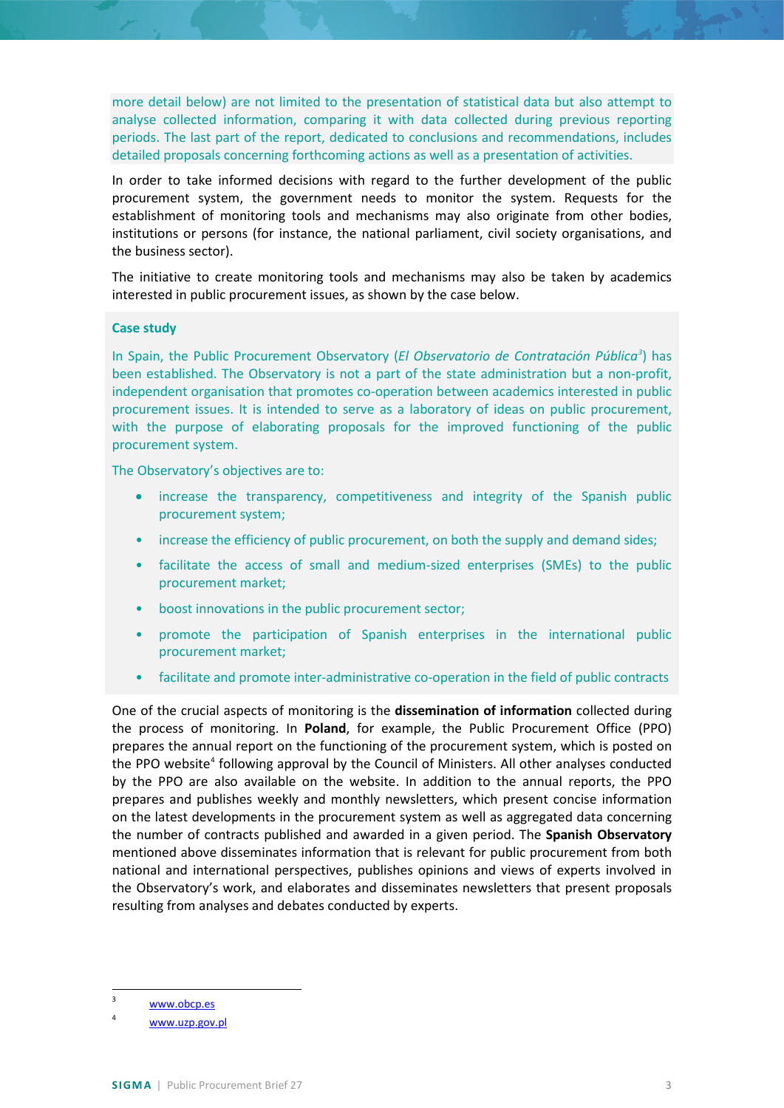more detail below) are not limited to the presentation of statistical data but also attempt to analyse collected information, comparing it with data collected during previous reporting periods. The last part of the report, dedicated to conclusions and recommendations, includes detailed proposals concerning forthcoming actions as well as a presentation of activities.

In order to take informed decisions with regard to the further development of the public procurement system, the government needs to monitor the system. Requests for the establishment of monitoring tools and mechanisms may also originate from other bodies, institutions or persons (for instance, the national parliament, civil society organisations, and the business sector).

The initiative to create monitoring tools and mechanisms may also be taken by academics interested in public procurement issues, as shown by the case below.

#### **Case study**

In Spain, the Public Procurement Observatory (*El Observatorio de Contratación Pública[3](#page-2-0)* ) has been established. The Observatory is not a part of the state administration but a non-profit, independent organisation that promotes co-operation between academics interested in public procurement issues. It is intended to serve as a laboratory of ideas on public procurement, with the purpose of elaborating proposals for the improved functioning of the public procurement system.

The Observatory's objectives are to:

- increase the transparency, competitiveness and integrity of the Spanish public procurement system;
- increase the efficiency of public procurement, on both the supply and demand sides;
- facilitate the access of small and medium-sized enterprises (SMEs) to the public procurement market;
- boost innovations in the public procurement sector;
- promote the participation of Spanish enterprises in the international public procurement market;
- facilitate and promote inter-administrative co-operation in the field of public contracts

One of the crucial aspects of monitoring is the **dissemination of information** collected during the process of monitoring. In **Poland**, for example, the Public Procurement Office (PPO) prepares the annual report on the functioning of the procurement system, which is posted on the PPO website<sup>[4](#page-2-1)</sup> following approval by the Council of Ministers. All other analyses conducted by the PPO are also available on the website. In addition to the annual reports, the PPO prepares and publishes weekly and monthly newsletters, which present concise information on the latest developments in the procurement system as well as aggregated data concerning the number of contracts published and awarded in a given period. The **Spanish Observatory** mentioned above disseminates information that is relevant for public procurement from both national and international perspectives, publishes opinions and views of experts involved in the Observatory's work, and elaborates and disseminates newsletters that present proposals resulting from analyses and debates conducted by experts.

<span id="page-2-0"></span> <sup>3</sup> [www.obcp.es](http://www.obcp.es/)

<span id="page-2-1"></span><sup>4</sup> [www.uzp.gov.pl](http://www.uzp.gov.pl/)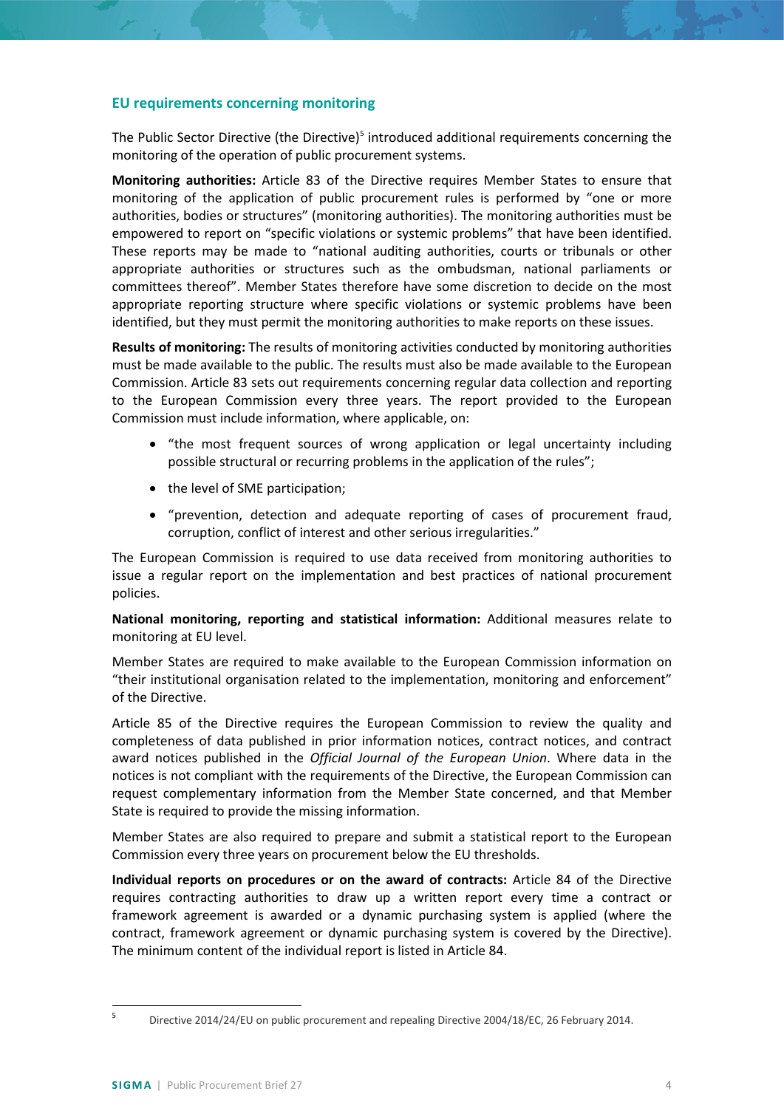## <span id="page-3-0"></span>**EU requirements concerning monitoring**

The Public Sector Directive (the Directive) $5$  introduced additional requirements concerning the monitoring of the operation of public procurement systems.

**Monitoring authorities:** Article 83 of the Directive requires Member States to ensure that monitoring of the application of public procurement rules is performed by "one or more authorities, bodies or structures" (monitoring authorities). The monitoring authorities must be empowered to report on "specific violations or systemic problems" that have been identified. These reports may be made to "national auditing authorities, courts or tribunals or other appropriate authorities or structures such as the ombudsman, national parliaments or committees thereof". Member States therefore have some discretion to decide on the most appropriate reporting structure where specific violations or systemic problems have been identified, but they must permit the monitoring authorities to make reports on these issues.

**Results of monitoring:** The results of monitoring activities conducted by monitoring authorities must be made available to the public. The results must also be made available to the European Commission. Article 83 sets out requirements concerning regular data collection and reporting to the European Commission every three years. The report provided to the European Commission must include information, where applicable, on:

- "the most frequent sources of wrong application or legal uncertainty including possible structural or recurring problems in the application of the rules";
- the level of SME participation;
- "prevention, detection and adequate reporting of cases of procurement fraud, corruption, conflict of interest and other serious irregularities."

The European Commission is required to use data received from monitoring authorities to issue a regular report on the implementation and best practices of national procurement policies.

**National monitoring, reporting and statistical information:** Additional measures relate to monitoring at EU level.

Member States are required to make available to the European Commission information on "their institutional organisation related to the implementation, monitoring and enforcement" of the Directive.

Article 85 of the Directive requires the European Commission to review the quality and completeness of data published in prior information notices, contract notices, and contract award notices published in the *Official Journal of the European Union*. Where data in the notices is not compliant with the requirements of the Directive, the European Commission can request complementary information from the Member State concerned, and that Member State is required to provide the missing information.

Member States are also required to prepare and submit a statistical report to the European Commission every three years on procurement below the EU thresholds.

**Individual reports on procedures or on the award of contracts:** Article 84 of the Directive requires contracting authorities to draw up a written report every time a contract or framework agreement is awarded or a dynamic purchasing system is applied (where the contract, framework agreement or dynamic purchasing system is covered by the Directive). The minimum content of the individual report is listed in Article 84.

<span id="page-3-1"></span> <sup>5</sup> Directive 2014/24/EU on public procurement and repealing Directive 2004/18/EC, 26 February 2014.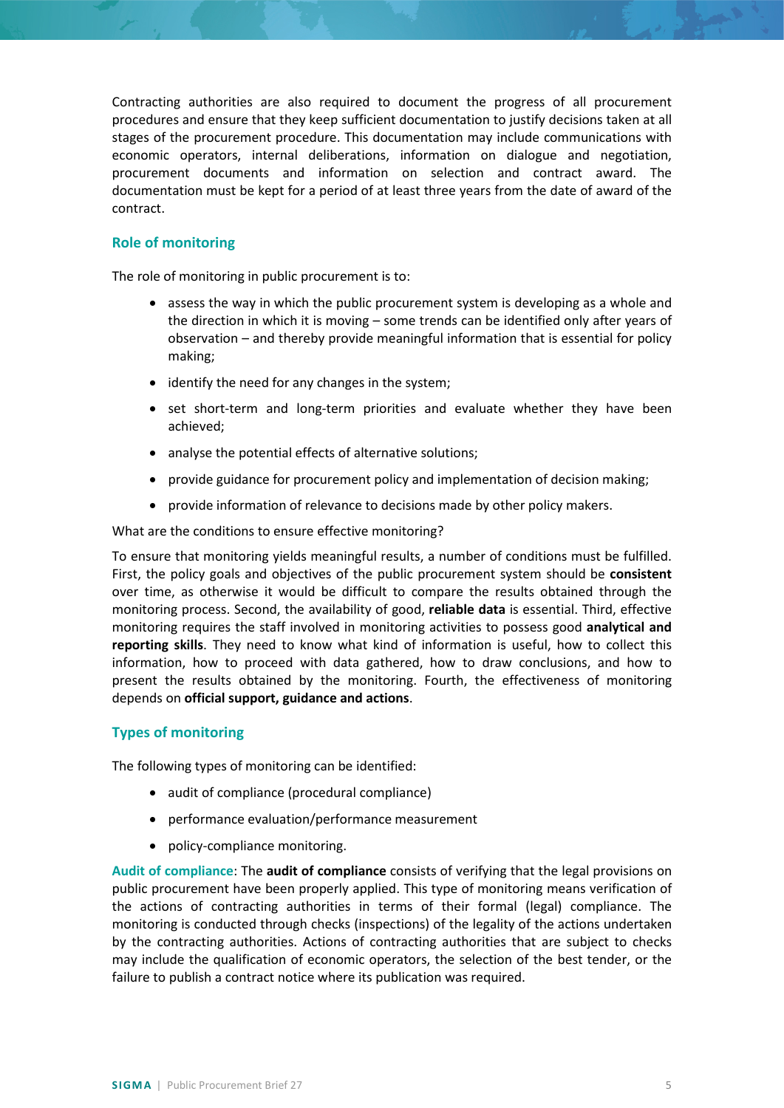Contracting authorities are also required to document the progress of all procurement procedures and ensure that they keep sufficient documentation to justify decisions taken at all stages of the procurement procedure. This documentation may include communications with economic operators, internal deliberations, information on dialogue and negotiation, procurement documents and information on selection and contract award. The documentation must be kept for a period of at least three years from the date of award of the contract.

## <span id="page-4-0"></span>**Role of monitoring**

The role of monitoring in public procurement is to:

- assess the way in which the public procurement system is developing as a whole and the direction in which it is moving – some trends can be identified only after years of observation – and thereby provide meaningful information that is essential for policy making;
- identify the need for any changes in the system;
- set short-term and long-term priorities and evaluate whether they have been achieved;
- analyse the potential effects of alternative solutions;
- provide guidance for procurement policy and implementation of decision making;
- provide information of relevance to decisions made by other policy makers.

What are the conditions to ensure effective monitoring?

To ensure that monitoring yields meaningful results, a number of conditions must be fulfilled. First, the policy goals and objectives of the public procurement system should be **consistent** over time, as otherwise it would be difficult to compare the results obtained through the monitoring process. Second, the availability of good, **reliable data** is essential. Third, effective monitoring requires the staff involved in monitoring activities to possess good **analytical and reporting skills**. They need to know what kind of information is useful, how to collect this information, how to proceed with data gathered, how to draw conclusions, and how to present the results obtained by the monitoring. Fourth, the effectiveness of monitoring depends on **official support, guidance and actions**.

# <span id="page-4-1"></span>**Types of monitoring**

The following types of monitoring can be identified:

- audit of compliance (procedural compliance)
- performance evaluation/performance measurement
- policy-compliance monitoring.

**Audit of compliance**: The **audit of compliance** consists of verifying that the legal provisions on public procurement have been properly applied. This type of monitoring means verification of the actions of contracting authorities in terms of their formal (legal) compliance. The monitoring is conducted through checks (inspections) of the legality of the actions undertaken by the contracting authorities. Actions of contracting authorities that are subject to checks may include the qualification of economic operators, the selection of the best tender, or the failure to publish a contract notice where its publication was required.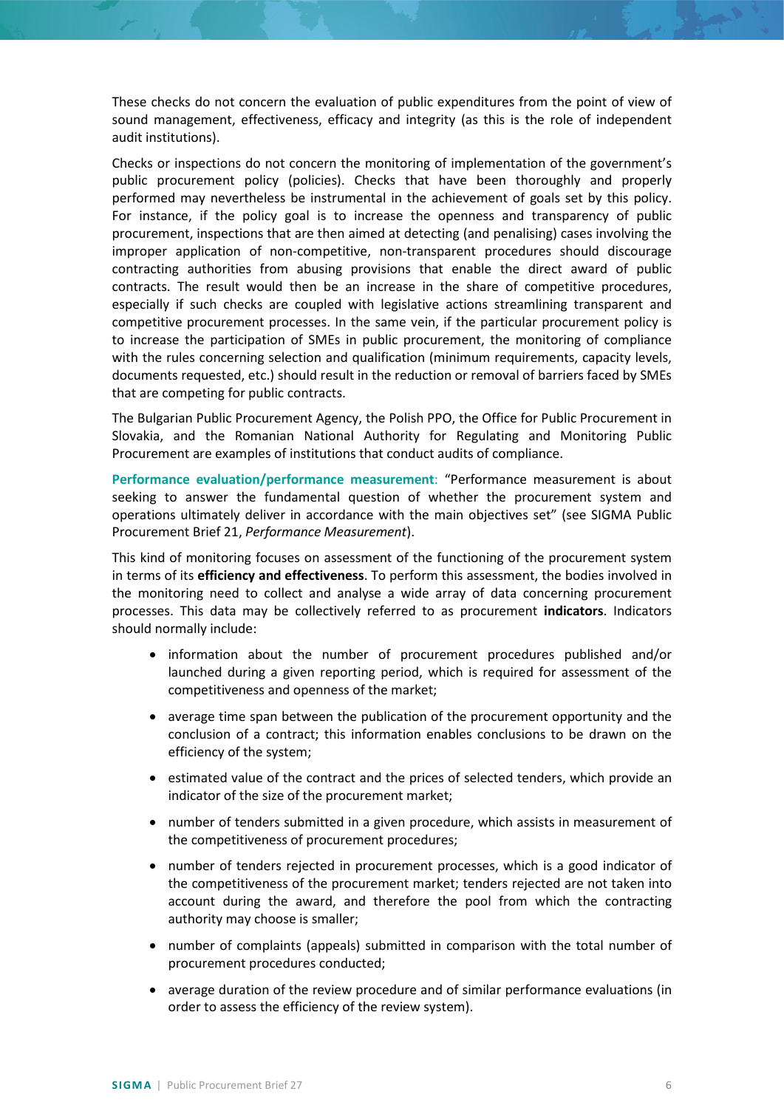These checks do not concern the evaluation of public expenditures from the point of view of sound management, effectiveness, efficacy and integrity (as this is the role of independent audit institutions).

Checks or inspections do not concern the monitoring of implementation of the government's public procurement policy (policies). Checks that have been thoroughly and properly performed may nevertheless be instrumental in the achievement of goals set by this policy. For instance, if the policy goal is to increase the openness and transparency of public procurement, inspections that are then aimed at detecting (and penalising) cases involving the improper application of non-competitive, non-transparent procedures should discourage contracting authorities from abusing provisions that enable the direct award of public contracts. The result would then be an increase in the share of competitive procedures, especially if such checks are coupled with legislative actions streamlining transparent and competitive procurement processes. In the same vein, if the particular procurement policy is to increase the participation of SMEs in public procurement, the monitoring of compliance with the rules concerning selection and qualification (minimum requirements, capacity levels, documents requested, etc.) should result in the reduction or removal of barriers faced by SMEs that are competing for public contracts.

The Bulgarian Public Procurement Agency, the Polish PPO, the Office for Public Procurement in Slovakia, and the Romanian National Authority for Regulating and Monitoring Public Procurement are examples of institutions that conduct audits of compliance.

**Performance evaluation/performance measurement**: "Performance measurement is about seeking to answer the fundamental question of whether the procurement system and operations ultimately deliver in accordance with the main objectives set" (see SIGMA Public Procurement Brief 21, *Performance Measurement*).

This kind of monitoring focuses on assessment of the functioning of the procurement system in terms of its **efficiency and effectiveness**. To perform this assessment, the bodies involved in the monitoring need to collect and analyse a wide array of data concerning procurement processes. This data may be collectively referred to as procurement **indicators**. Indicators should normally include:

- information about the number of procurement procedures published and/or launched during a given reporting period, which is required for assessment of the competitiveness and openness of the market;
- average time span between the publication of the procurement opportunity and the conclusion of a contract; this information enables conclusions to be drawn on the efficiency of the system;
- estimated value of the contract and the prices of selected tenders, which provide an indicator of the size of the procurement market;
- number of tenders submitted in a given procedure, which assists in measurement of the competitiveness of procurement procedures;
- number of tenders rejected in procurement processes, which is a good indicator of the competitiveness of the procurement market; tenders rejected are not taken into account during the award, and therefore the pool from which the contracting authority may choose is smaller;
- number of complaints (appeals) submitted in comparison with the total number of procurement procedures conducted;
- average duration of the review procedure and of similar performance evaluations (in order to assess the efficiency of the review system).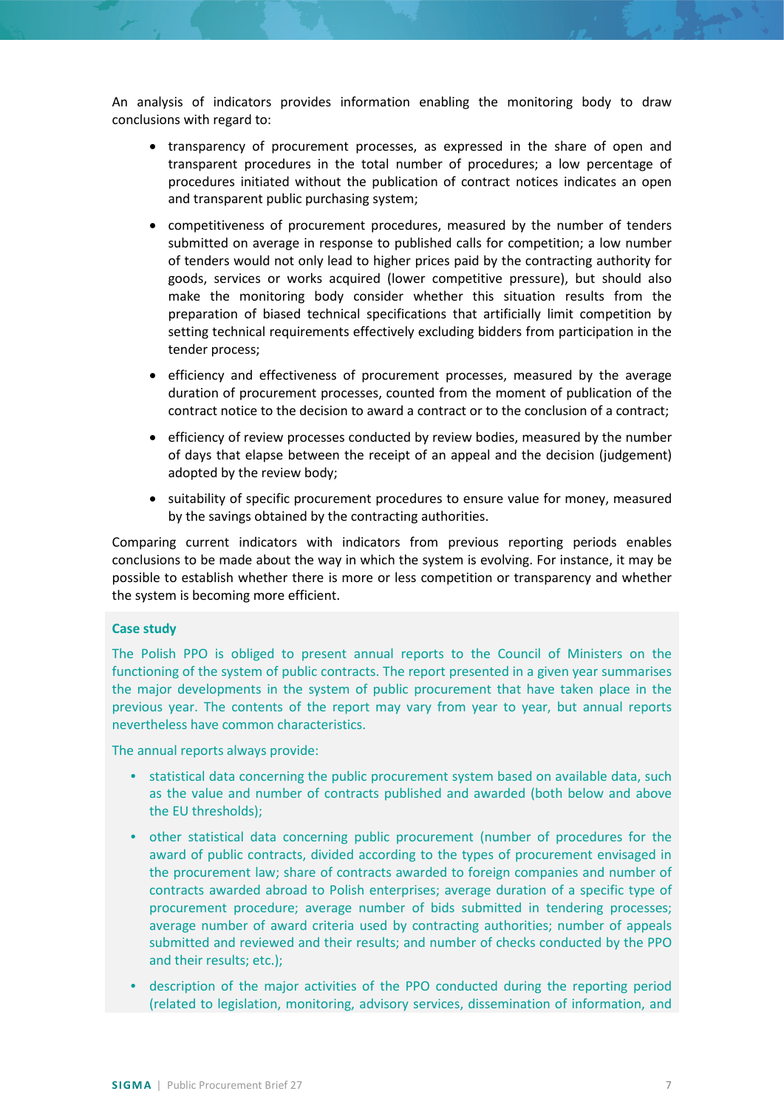An analysis of indicators provides information enabling the monitoring body to draw conclusions with regard to:

- transparency of procurement processes, as expressed in the share of open and transparent procedures in the total number of procedures; a low percentage of procedures initiated without the publication of contract notices indicates an open and transparent public purchasing system;
- competitiveness of procurement procedures, measured by the number of tenders submitted on average in response to published calls for competition; a low number of tenders would not only lead to higher prices paid by the contracting authority for goods, services or works acquired (lower competitive pressure), but should also make the monitoring body consider whether this situation results from the preparation of biased technical specifications that artificially limit competition by setting technical requirements effectively excluding bidders from participation in the tender process;
- efficiency and effectiveness of procurement processes, measured by the average duration of procurement processes, counted from the moment of publication of the contract notice to the decision to award a contract or to the conclusion of a contract;
- efficiency of review processes conducted by review bodies, measured by the number of days that elapse between the receipt of an appeal and the decision (judgement) adopted by the review body;
- suitability of specific procurement procedures to ensure value for money, measured by the savings obtained by the contracting authorities.

Comparing current indicators with indicators from previous reporting periods enables conclusions to be made about the way in which the system is evolving. For instance, it may be possible to establish whether there is more or less competition or transparency and whether the system is becoming more efficient.

#### **Case study**

The Polish PPO is obliged to present annual reports to the Council of Ministers on the functioning of the system of public contracts. The report presented in a given year summarises the major developments in the system of public procurement that have taken place in the previous year. The contents of the report may vary from year to year, but annual reports nevertheless have common characteristics.

The annual reports always provide:

- statistical data concerning the public procurement system based on available data, such as the value and number of contracts published and awarded (both below and above the EU thresholds);
- other statistical data concerning public procurement (number of procedures for the award of public contracts, divided according to the types of procurement envisaged in the procurement law; share of contracts awarded to foreign companies and number of contracts awarded abroad to Polish enterprises; average duration of a specific type of procurement procedure; average number of bids submitted in tendering processes; average number of award criteria used by contracting authorities; number of appeals submitted and reviewed and their results; and number of checks conducted by the PPO and their results; etc.);
- description of the major activities of the PPO conducted during the reporting period (related to legislation, monitoring, advisory services, dissemination of information, and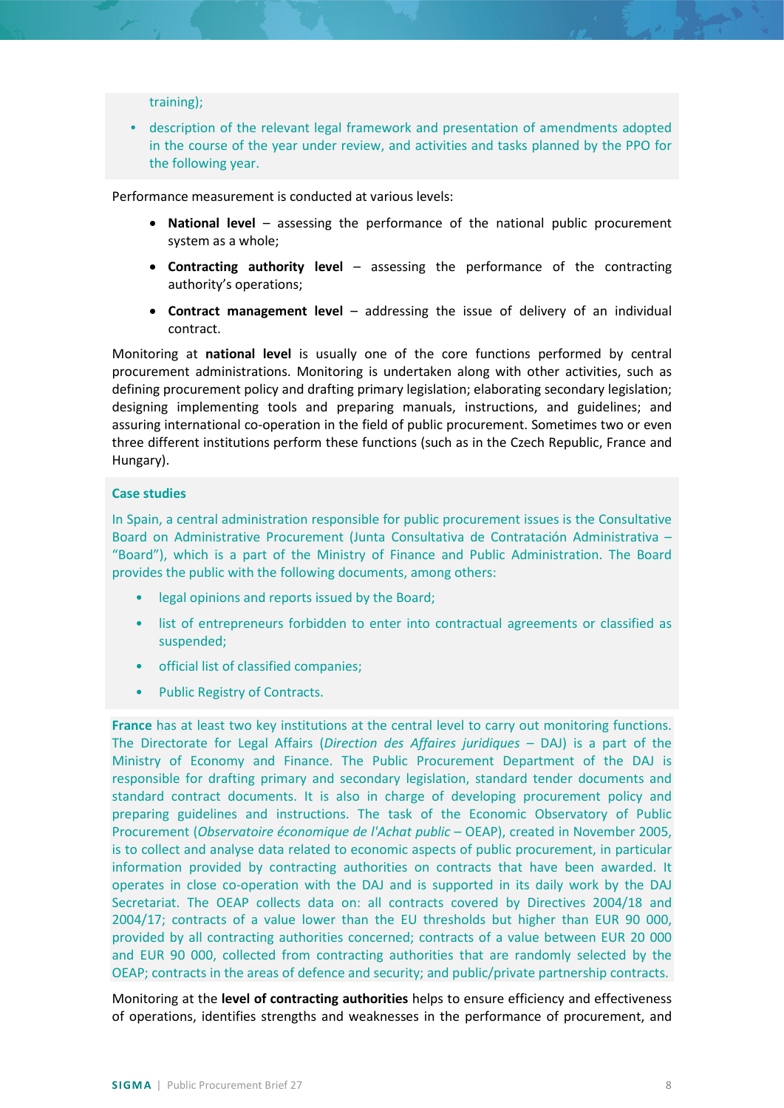training);

• description of the relevant legal framework and presentation of amendments adopted in the course of the year under review, and activities and tasks planned by the PPO for the following year.

Performance measurement is conducted at various levels:

- **National level** assessing the performance of the national public procurement system as a whole;
- **Contracting authority level** assessing the performance of the contracting authority's operations;
- **Contract management level**  addressing the issue of delivery of an individual contract.

Monitoring at **national level** is usually one of the core functions performed by central procurement administrations. Monitoring is undertaken along with other activities, such as defining procurement policy and drafting primary legislation; elaborating secondary legislation; designing implementing tools and preparing manuals, instructions, and guidelines; and assuring international co-operation in the field of public procurement. Sometimes two or even three different institutions perform these functions (such as in the Czech Republic, France and Hungary).

#### **Case studies**

In Spain, a central administration responsible for public procurement issues is the Consultative Board on Administrative Procurement (Junta Consultativa de Contratación Administrativa – "Board"), which is a part of the Ministry of Finance and Public Administration. The Board provides the public with the following documents, among others:

- legal opinions and reports issued by the Board;
- list of entrepreneurs forbidden to enter into contractual agreements or classified as suspended;
- official list of classified companies;
- Public Registry of Contracts.

**France** has at least two key institutions at the central level to carry out monitoring functions. The Directorate for Legal Affairs (*Direction des Affaires juridiques* – DAJ) is a part of the Ministry of Economy and Finance. The Public Procurement Department of the DAJ is responsible for drafting primary and secondary legislation, standard tender documents and standard contract documents. It is also in charge of developing procurement policy and preparing guidelines and instructions. The task of the Economic Observatory of Public Procurement (*Observatoire économique de l'Achat public* – OEAP), created in November 2005, is to collect and analyse data related to economic aspects of public procurement, in particular information provided by contracting authorities on contracts that have been awarded. It operates in close co-operation with the DAJ and is supported in its daily work by the DAJ Secretariat. The OEAP collects data on: all contracts covered by Directives 2004/18 and 2004/17; contracts of a value lower than the EU thresholds but higher than EUR 90 000, provided by all contracting authorities concerned; contracts of a value between EUR 20 000 and EUR 90 000, collected from contracting authorities that are randomly selected by the OEAP; contracts in the areas of defence and security; and public/private partnership contracts.

Monitoring at the **level of contracting authorities** helps to ensure efficiency and effectiveness of operations, identifies strengths and weaknesses in the performance of procurement, and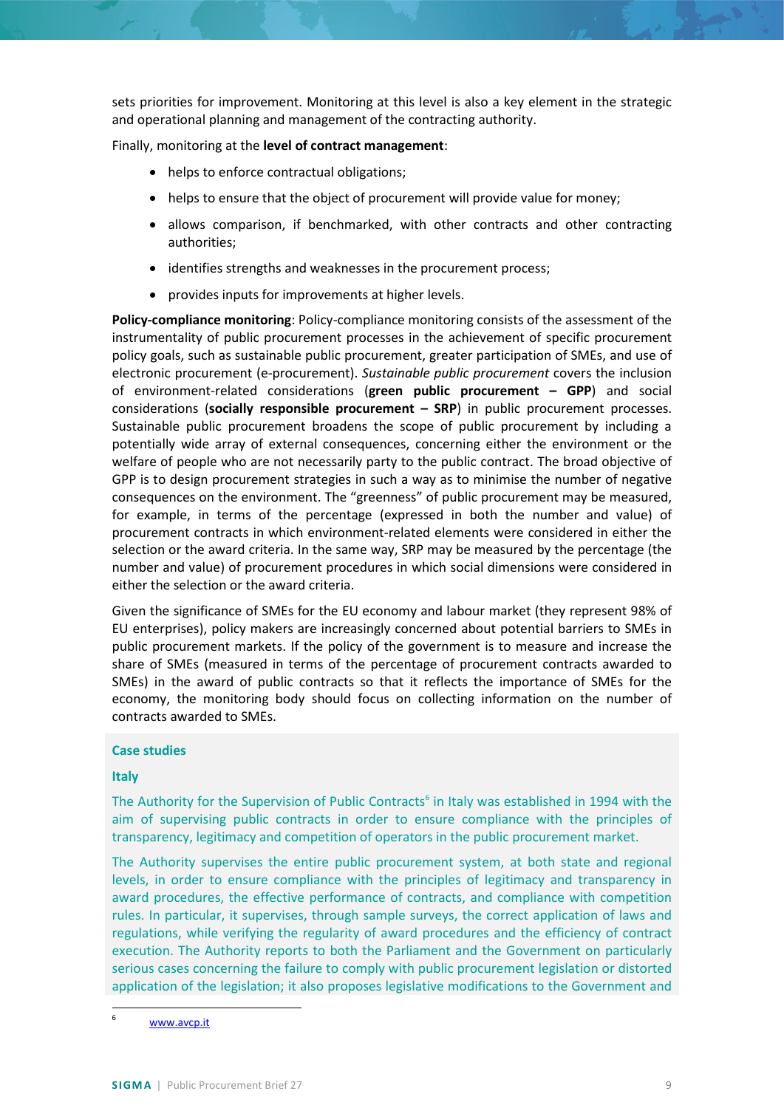sets priorities for improvement. Monitoring at this level is also a key element in the strategic and operational planning and management of the contracting authority.

Finally, monitoring at the **level of contract management**:

- helps to enforce contractual obligations;
- helps to ensure that the object of procurement will provide value for money;
- allows comparison, if benchmarked, with other contracts and other contracting authorities;
- identifies strengths and weaknesses in the procurement process;
- provides inputs for improvements at higher levels.

**Policy-compliance monitoring**: Policy-compliance monitoring consists of the assessment of the instrumentality of public procurement processes in the achievement of specific procurement policy goals, such as sustainable public procurement, greater participation of SMEs, and use of electronic procurement (e-procurement). *Sustainable public procurement* covers the inclusion of environment-related considerations (**green public procurement – GPP**) and social considerations (**socially responsible procurement – SRP**) in public procurement processes. Sustainable public procurement broadens the scope of public procurement by including a potentially wide array of external consequences, concerning either the environment or the welfare of people who are not necessarily party to the public contract. The broad objective of GPP is to design procurement strategies in such a way as to minimise the number of negative consequences on the environment. The "greenness" of public procurement may be measured, for example, in terms of the percentage (expressed in both the number and value) of procurement contracts in which environment-related elements were considered in either the selection or the award criteria. In the same way, SRP may be measured by the percentage (the number and value) of procurement procedures in which social dimensions were considered in either the selection or the award criteria.

Given the significance of SMEs for the EU economy and labour market (they represent 98% of EU enterprises), policy makers are increasingly concerned about potential barriers to SMEs in public procurement markets. If the policy of the government is to measure and increase the share of SMEs (measured in terms of the percentage of procurement contracts awarded to SMEs) in the award of public contracts so that it reflects the importance of SMEs for the economy, the monitoring body should focus on collecting information on the number of contracts awarded to SMEs.

## **Case studies**

## **Italy**

The Authority for the Supervision of Public Contracts<sup>[6](#page-8-0)</sup> in Italy was established in 1994 with the aim of supervising public contracts in order to ensure compliance with the principles of transparency, legitimacy and competition of operators in the public procurement market.

The Authority supervises the entire public procurement system, at both state and regional levels, in order to ensure compliance with the principles of legitimacy and transparency in award procedures, the effective performance of contracts, and compliance with competition rules. In particular, it supervises, through sample surveys, the correct application of laws and regulations, while verifying the regularity of award procedures and the efficiency of contract execution. The Authority reports to both the Parliament and the Government on particularly serious cases concerning the failure to comply with public procurement legislation or distorted application of the legislation; it also proposes legislative modifications to the Government and

<span id="page-8-0"></span> <sup>6</sup> [www.avcp.it](http://www.avcp.it/)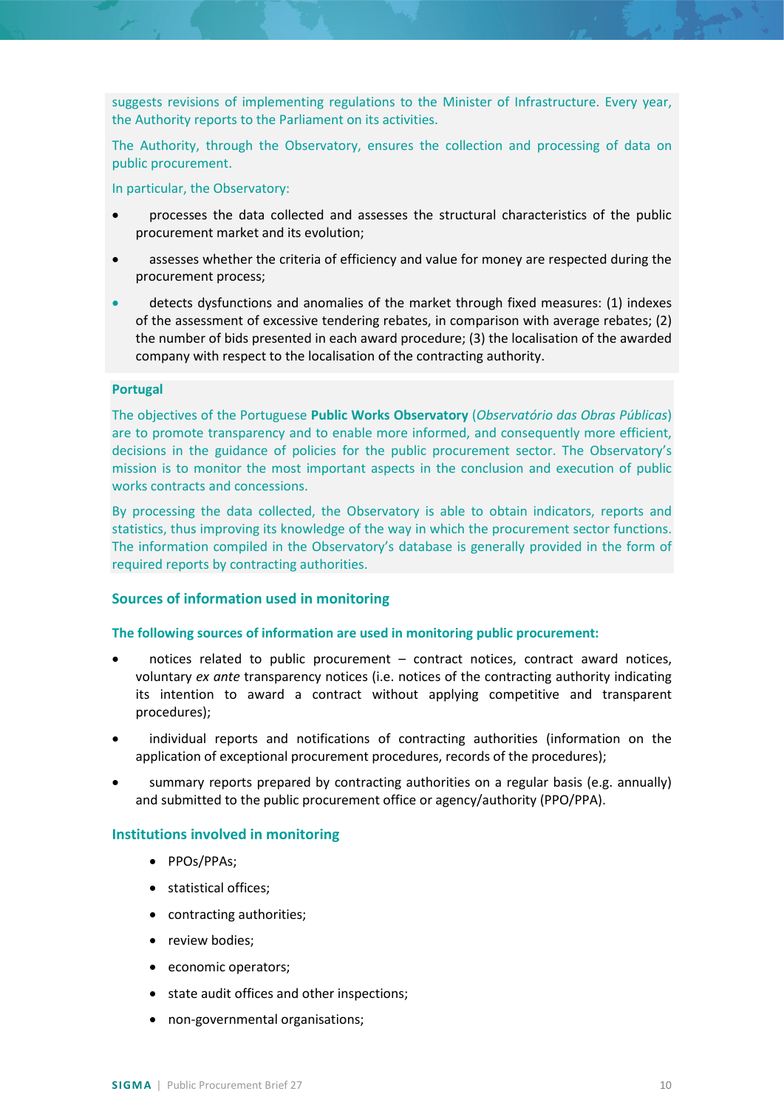suggests revisions of implementing regulations to the Minister of Infrastructure. Every year, the Authority reports to the Parliament on its activities.

The Authority, through the Observatory, ensures the collection and processing of data on public procurement.

In particular, the Observatory:

- processes the data collected and assesses the structural characteristics of the public procurement market and its evolution;
- assesses whether the criteria of efficiency and value for money are respected during the procurement process;
- detects dysfunctions and anomalies of the market through fixed measures: (1) indexes of the assessment of excessive tendering rebates, in comparison with average rebates; (2) the number of bids presented in each award procedure; (3) the localisation of the awarded company with respect to the localisation of the contracting authority.

## **Portugal**

The objectives of the Portuguese **Public Works Observatory** (*Observatório das Obras Públicas*) are to promote transparency and to enable more informed, and consequently more efficient, decisions in the guidance of policies for the public procurement sector. The Observatory's mission is to monitor the most important aspects in the conclusion and execution of public works contracts and concessions.

By processing the data collected, the Observatory is able to obtain indicators, reports and statistics, thus improving its knowledge of the way in which the procurement sector functions. The information compiled in the Observatory's database is generally provided in the form of required reports by contracting authorities.

## <span id="page-9-0"></span>**Sources of information used in monitoring**

#### **The following sources of information are used in monitoring public procurement:**

- notices related to public procurement contract notices, contract award notices, voluntary *ex ante* transparency notices (i.e. notices of the contracting authority indicating its intention to award a contract without applying competitive and transparent procedures);
- individual reports and notifications of contracting authorities (information on the application of exceptional procurement procedures, records of the procedures);
- summary reports prepared by contracting authorities on a regular basis (e.g. annually) and submitted to the public procurement office or agency/authority (PPO/PPA).

## <span id="page-9-1"></span>**Institutions involved in monitoring**

- PPOs/PPAs;
- statistical offices;
- contracting authorities;
- review bodies;
- economic operators;
- state audit offices and other inspections;
- non-governmental organisations;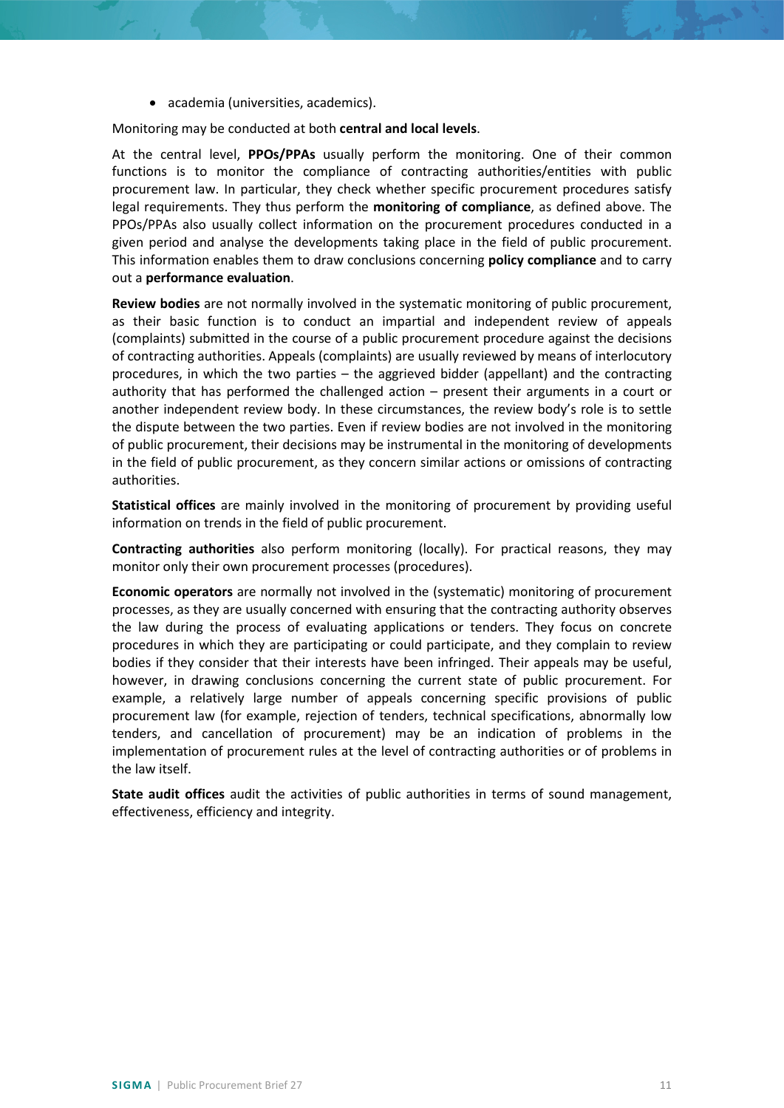• academia (universities, academics).

Monitoring may be conducted at both **central and local levels**.

At the central level, **PPOs/PPAs** usually perform the monitoring. One of their common functions is to monitor the compliance of contracting authorities/entities with public procurement law. In particular, they check whether specific procurement procedures satisfy legal requirements. They thus perform the **monitoring of compliance**, as defined above. The PPOs/PPAs also usually collect information on the procurement procedures conducted in a given period and analyse the developments taking place in the field of public procurement. This information enables them to draw conclusions concerning **policy compliance** and to carry out a **performance evaluation**.

**Review bodies** are not normally involved in the systematic monitoring of public procurement, as their basic function is to conduct an impartial and independent review of appeals (complaints) submitted in the course of a public procurement procedure against the decisions of contracting authorities. Appeals (complaints) are usually reviewed by means of interlocutory procedures, in which the two parties – the aggrieved bidder (appellant) and the contracting authority that has performed the challenged action – present their arguments in a court or another independent review body. In these circumstances, the review body's role is to settle the dispute between the two parties. Even if review bodies are not involved in the monitoring of public procurement, their decisions may be instrumental in the monitoring of developments in the field of public procurement, as they concern similar actions or omissions of contracting authorities.

**Statistical offices** are mainly involved in the monitoring of procurement by providing useful information on trends in the field of public procurement.

**Contracting authorities** also perform monitoring (locally). For practical reasons, they may monitor only their own procurement processes (procedures).

**Economic operators** are normally not involved in the (systematic) monitoring of procurement processes, as they are usually concerned with ensuring that the contracting authority observes the law during the process of evaluating applications or tenders. They focus on concrete procedures in which they are participating or could participate, and they complain to review bodies if they consider that their interests have been infringed. Their appeals may be useful, however, in drawing conclusions concerning the current state of public procurement. For example, a relatively large number of appeals concerning specific provisions of public procurement law (for example, rejection of tenders, technical specifications, abnormally low tenders, and cancellation of procurement) may be an indication of problems in the implementation of procurement rules at the level of contracting authorities or of problems in the law itself.

**State audit offices** audit the activities of public authorities in terms of sound management, effectiveness, efficiency and integrity.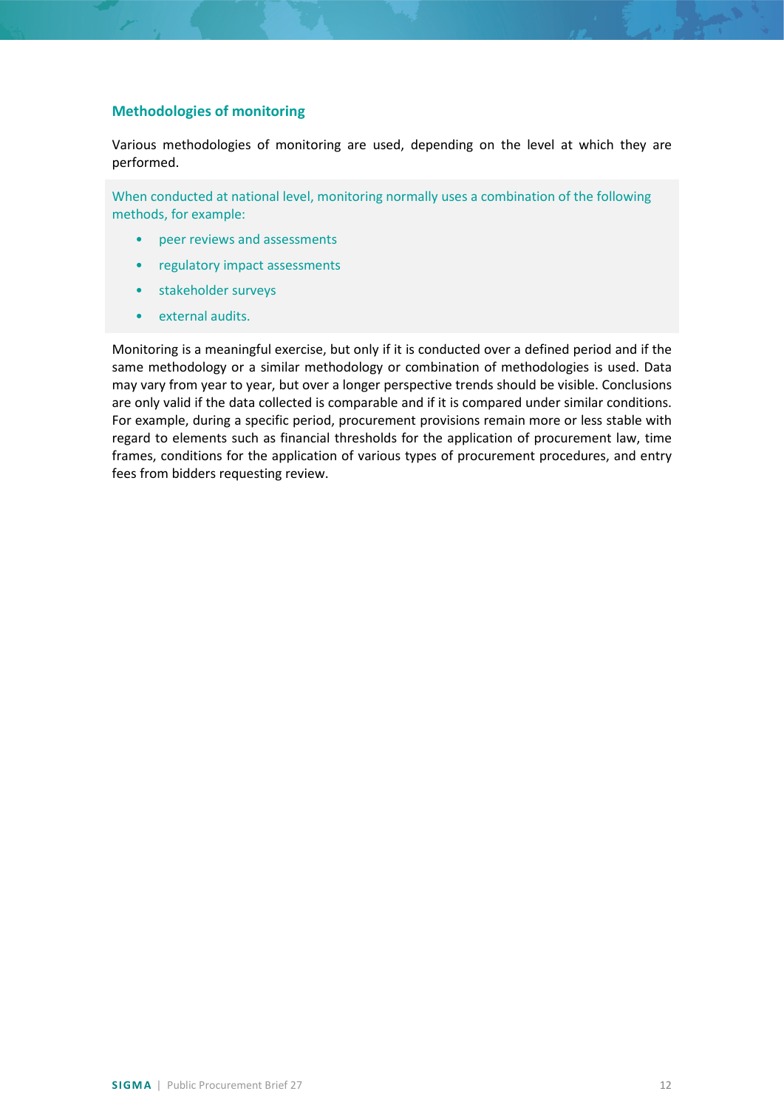## <span id="page-11-0"></span>**Methodologies of monitoring**

Various methodologies of monitoring are used, depending on the level at which they are performed.

When conducted at national level, monitoring normally uses a combination of the following methods, for example:

- peer reviews and assessments
- regulatory impact assessments
- stakeholder surveys
- external audits.

Monitoring is a meaningful exercise, but only if it is conducted over a defined period and if the same methodology or a similar methodology or combination of methodologies is used. Data may vary from year to year, but over a longer perspective trends should be visible. Conclusions are only valid if the data collected is comparable and if it is compared under similar conditions. For example, during a specific period, procurement provisions remain more or less stable with regard to elements such as financial thresholds for the application of procurement law, time frames, conditions for the application of various types of procurement procedures, and entry fees from bidders requesting review.